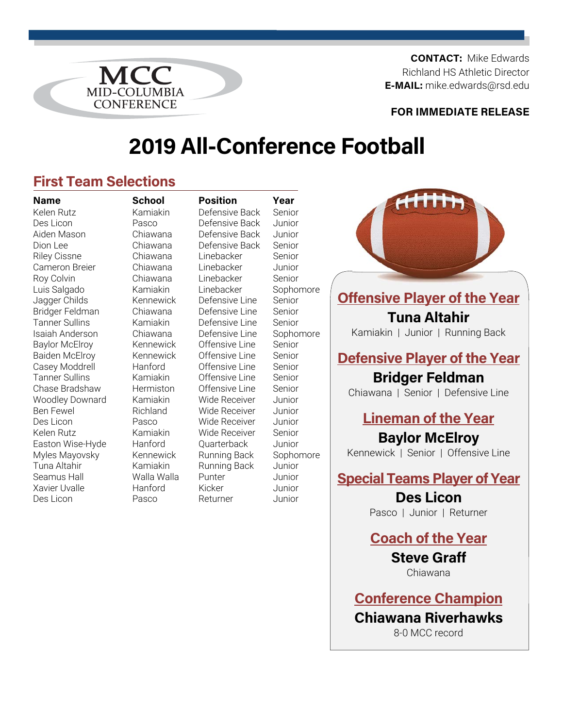**CONTACT:** Mike Edwards Richland HS Athletic Director **E-MAIL:** mike.edwards@rsd.edu<br>MID-COLUMBIA

#### **FOR IMMEDIATE RELEASE**

# **2019 All-Conference Football**

## **First Team Selections**

**CONFERENCE** 

Kelen Rutz **Kamiakin** Defensive Back Senior Des Licon Pasco Defensive Back Junior Aiden Mason Chiawana Defensive Back Junior Dion Lee Chiawana Defensive Back Senior Riley Cissne Chiawana Linebacker Senior Cameron Breier Chiawana Linebacker Junior Roy Colvin Chiawana Linebacker Senior Luis Salgado Kamiakin Linebacker Sophomore Jagger Childs Kennewick Defensive Line Senior Bridger Feldman Chiawana Defensive Line Senior Tanner Sullins Kamiakin Defensive Line Senior Isaiah Anderson Chiawana Defensive Line Sophomore Baylor McElroy Kennewick Offensive Line Senior Baiden McElroy Kennewick Offensive Line Senior Casey Moddrell Hanford Offensive Line Senior Tanner Sullins Kamiakin Offensive Line Senior Chase Bradshaw Hermiston Offensive Line Senior Woodley Downard Kamiakin Wide Receiver Junior Ben Fewel **Richland** Wide Receiver Junior Des Licon Pasco Wide Receiver Junior Kelen Rutz **Kamiakin** Wide Receiver Senior Easton Wise-Hyde Hanford Quarterback Junior Myles Mayovsky Kennewick Running Back Sophomore Tuna Altahir **Kamiakin** Running Back Junior Seamus Hall **Walla Walla** Punter **Junior** Xavier Uvalle Hanford Kicker Junior Des Licon **Pasco** Returner Junior

**Name School Position Year** 



## **Offensive Player of the Year Tuna Altahir**

Kamiakin | Junior | Running Back

**Defensive Player of the Year** 

## **Bridger Feldman**

Chiawana | Senior | Defensive Line

## **Lineman of the Year**

**Baylor McElroy**  Kennewick | Senior | Offensive Line

**Special Teams Player of Year** 

**Des Licon**  Pasco | Junior | Returner

**Coach of the Year** 

**Steve Graff**  Chiawana

**Conference Champion Chiawana Riverhawks**  8-0 MCC record